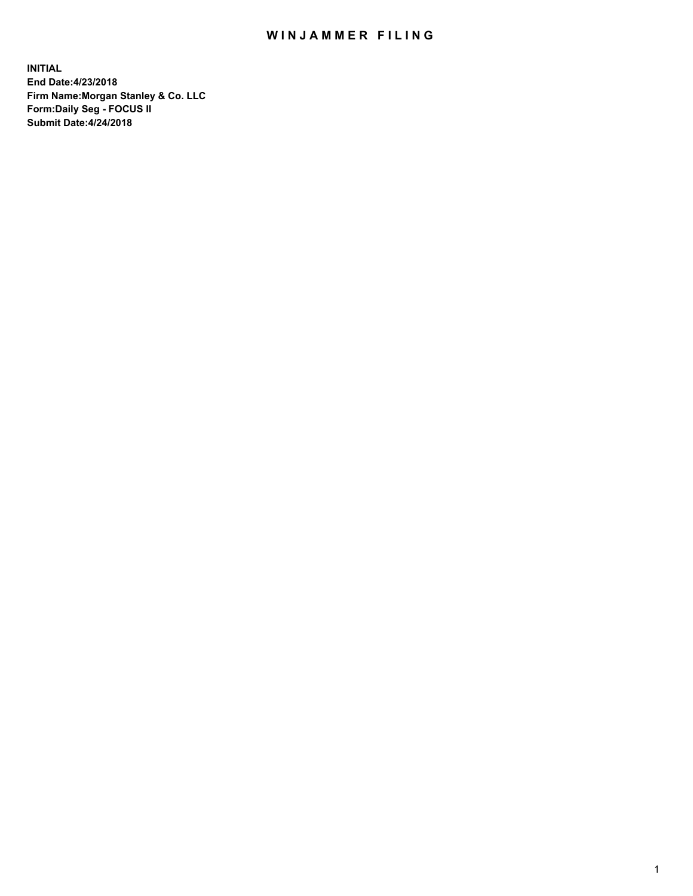## WIN JAMMER FILING

**INITIAL End Date:4/23/2018 Firm Name:Morgan Stanley & Co. LLC Form:Daily Seg - FOCUS II Submit Date:4/24/2018**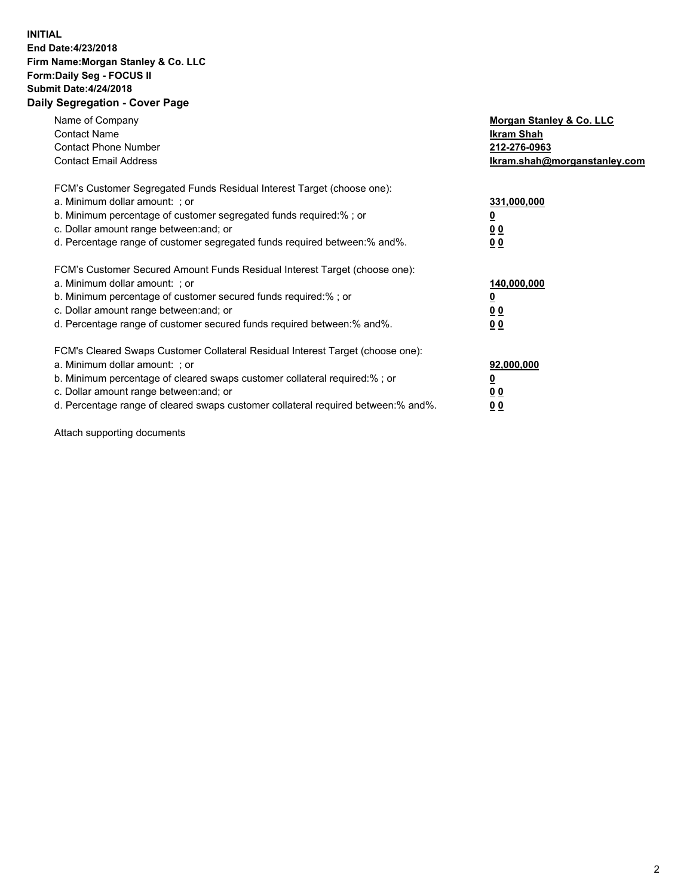## **INITIAL End Date:4/23/2018 Firm Name:Morgan Stanley & Co. LLC Form:Daily Seg - FOCUS II Submit Date:4/24/2018 Daily Segregation - Cover Page**

| Name of Company<br><b>Contact Name</b><br><b>Contact Phone Number</b><br><b>Contact Email Address</b>                                                                                                                                                                                                                         | Morgan Stanley & Co. LLC<br>Ikram Shah<br>212-276-0963<br>lkram.shah@morganstanley.com |
|-------------------------------------------------------------------------------------------------------------------------------------------------------------------------------------------------------------------------------------------------------------------------------------------------------------------------------|----------------------------------------------------------------------------------------|
| FCM's Customer Segregated Funds Residual Interest Target (choose one):<br>a. Minimum dollar amount: ; or<br>b. Minimum percentage of customer segregated funds required:%; or<br>c. Dollar amount range between: and; or<br>d. Percentage range of customer segregated funds required between:% and%.                         | 331,000,000<br>0 <sub>0</sub><br>00                                                    |
| FCM's Customer Secured Amount Funds Residual Interest Target (choose one):<br>a. Minimum dollar amount: ; or<br>b. Minimum percentage of customer secured funds required:%; or<br>c. Dollar amount range between: and; or<br>d. Percentage range of customer secured funds required between:% and%.                           | 140,000,000<br>0 <sub>0</sub><br>0 <sub>0</sub>                                        |
| FCM's Cleared Swaps Customer Collateral Residual Interest Target (choose one):<br>a. Minimum dollar amount: ; or<br>b. Minimum percentage of cleared swaps customer collateral required:%; or<br>c. Dollar amount range between: and; or<br>d. Percentage range of cleared swaps customer collateral required between:% and%. | 92,000,000<br>0 <sub>0</sub><br><u>00</u>                                              |

Attach supporting documents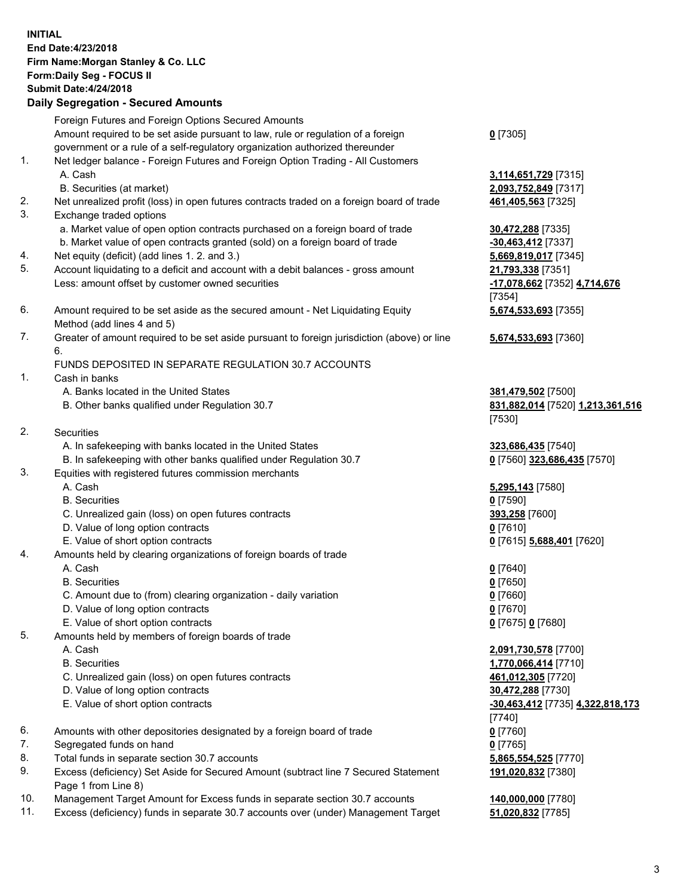## **INITIAL End Date:4/23/2018 Firm Name:Morgan Stanley & Co. LLC Form:Daily Seg - FOCUS II Submit Date:4/24/2018 Daily Segregation - Secured Amounts**

Foreign Futures and Foreign Options Secured Amounts Amount required to be set aside pursuant to law, rule or regulation of a foreign government or a rule of a self-regulatory organization authorized thereunder

- 1. Net ledger balance Foreign Futures and Foreign Option Trading All Customers A. Cash **3,114,651,729** [7315]
	- B. Securities (at market) **2,093,752,849** [7317]
- 2. Net unrealized profit (loss) in open futures contracts traded on a foreign board of trade **461,405,563** [7325]
- 3. Exchange traded options
	- a. Market value of open option contracts purchased on a foreign board of trade **30,472,288** [7335]
	- b. Market value of open contracts granted (sold) on a foreign board of trade **-30,463,412** [7337]
- 4. Net equity (deficit) (add lines 1. 2. and 3.) **5,669,819,017** [7345]
- 5. Account liquidating to a deficit and account with a debit balances gross amount **21,793,338** [7351] Less: amount offset by customer owned securities **-17,078,662** [7352] **4,714,676**
- 6. Amount required to be set aside as the secured amount Net Liquidating Equity Method (add lines 4 and 5)
- 7. Greater of amount required to be set aside pursuant to foreign jurisdiction (above) or line 6.

## FUNDS DEPOSITED IN SEPARATE REGULATION 30.7 ACCOUNTS

- 1. Cash in banks
	- A. Banks located in the United States **381,479,502** [7500]
	- B. Other banks qualified under Regulation 30.7 **831,882,014** [7520] **1,213,361,516**
- 2. Securities
	- A. In safekeeping with banks located in the United States **323,686,435** [7540]
	- B. In safekeeping with other banks qualified under Regulation 30.7 **0** [7560] **323,686,435** [7570]
- 3. Equities with registered futures commission merchants
	-
	-
	- C. Unrealized gain (loss) on open futures contracts **393,258** [7600]
	- D. Value of long option contracts **0** [7610]
- E. Value of short option contracts **0** [7615] **5,688,401** [7620]
- 4. Amounts held by clearing organizations of foreign boards of trade
	-
	-
	- C. Amount due to (from) clearing organization daily variation **0** [7660]
	- D. Value of long option contracts **0** [7670]
	- E. Value of short option contracts **0** [7675] **0** [7680]
- 5. Amounts held by members of foreign boards of trade
	-
	-
	- C. Unrealized gain (loss) on open futures contracts **461,012,305** [7720]
	- D. Value of long option contracts **30,472,288** [7730]
	- E. Value of short option contracts **-30,463,412** [7735] **4,322,818,173**
- 6. Amounts with other depositories designated by a foreign board of trade **0** [7760]
- 7. Segregated funds on hand **0** [7765]
- 8. Total funds in separate section 30.7 accounts **5,865,554,525** [7770]
- 9. Excess (deficiency) Set Aside for Secured Amount (subtract line 7 Secured Statement Page 1 from Line 8)
- 10. Management Target Amount for Excess funds in separate section 30.7 accounts **140,000,000** [7780]
- 11. Excess (deficiency) funds in separate 30.7 accounts over (under) Management Target **51,020,832** [7785]

**0** [7305]

[7354] **5,674,533,693** [7355]

**5,674,533,693** [7360]

[7530]

 A. Cash **5,295,143** [7580] B. Securities **0** [7590]

 A. Cash **0** [7640] B. Securities **0** [7650]

 A. Cash **2,091,730,578** [7700] B. Securities **1,770,066,414** [7710] [7740] **191,020,832** [7380]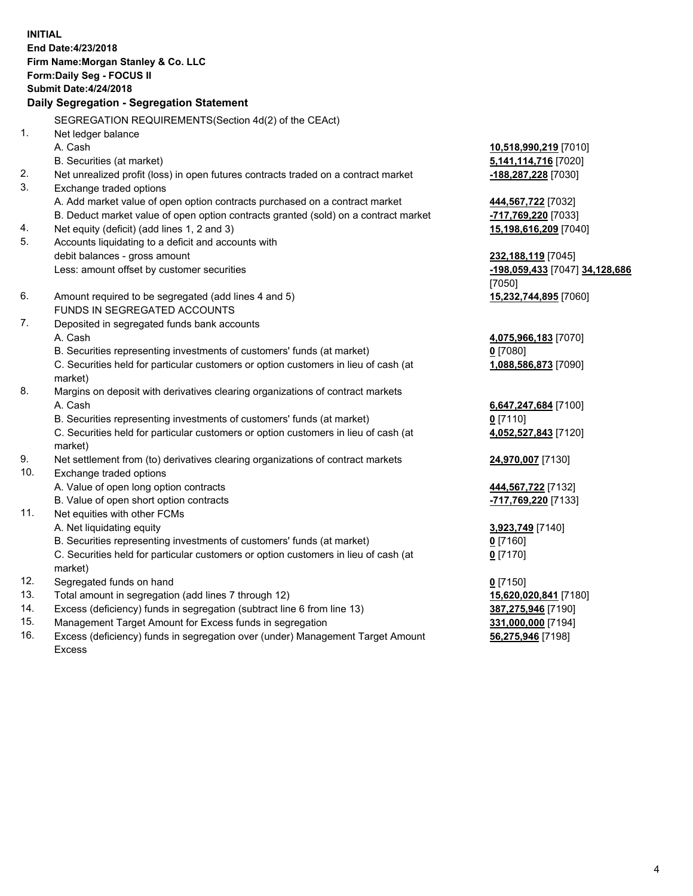**INITIAL End Date:4/23/2018 Firm Name:Morgan Stanley & Co. LLC Form:Daily Seg - FOCUS II Submit Date:4/24/2018 Daily Segregation - Segregation Statement** SEGREGATION REQUIREMENTS(Section 4d(2) of the CEAct) 1. Net ledger balance A. Cash **10,518,990,219** [7010] B. Securities (at market) **5,141,114,716** [7020] 2. Net unrealized profit (loss) in open futures contracts traded on a contract market **-188,287,228** [7030] 3. Exchange traded options A. Add market value of open option contracts purchased on a contract market **444,567,722** [7032] B. Deduct market value of open option contracts granted (sold) on a contract market **-717,769,220** [7033] 4. Net equity (deficit) (add lines 1, 2 and 3) **15,198,616,209** [7040] 5. Accounts liquidating to a deficit and accounts with debit balances - gross amount **232,188,119** [7045] Less: amount offset by customer securities **-198,059,433** [7047] **34,128,686** [7050] 6. Amount required to be segregated (add lines 4 and 5) **15,232,744,895** [7060] FUNDS IN SEGREGATED ACCOUNTS 7. Deposited in segregated funds bank accounts A. Cash **4,075,966,183** [7070] B. Securities representing investments of customers' funds (at market) **0** [7080] C. Securities held for particular customers or option customers in lieu of cash (at market) **1,088,586,873** [7090] 8. Margins on deposit with derivatives clearing organizations of contract markets A. Cash **6,647,247,684** [7100] B. Securities representing investments of customers' funds (at market) **0** [7110] C. Securities held for particular customers or option customers in lieu of cash (at market) **4,052,527,843** [7120] 9. Net settlement from (to) derivatives clearing organizations of contract markets **24,970,007** [7130] 10. Exchange traded options A. Value of open long option contracts **444,567,722** [7132] B. Value of open short option contracts **-717,769,220** [7133] 11. Net equities with other FCMs A. Net liquidating equity **3,923,749** [7140] B. Securities representing investments of customers' funds (at market) **0** [7160] C. Securities held for particular customers or option customers in lieu of cash (at market) **0** [7170] 12. Segregated funds on hand **0** [7150] 13. Total amount in segregation (add lines 7 through 12) **15,620,020,841** [7180] 14. Excess (deficiency) funds in segregation (subtract line 6 from line 13) **387,275,946** [7190]

- 15. Management Target Amount for Excess funds in segregation **331,000,000** [7194]
- 16. Excess (deficiency) funds in segregation over (under) Management Target Amount Excess

**56,275,946** [7198]